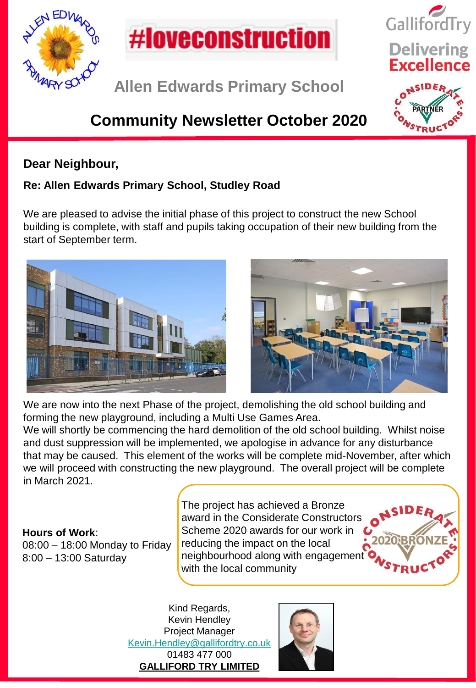



**Allen Edwards Primary School**

# **Community Newsletter October 2020**

#### **Dear Neighbour,**

#### **Re: Allen Edwards Primary School, Studley Road**

We are pleased to advise the initial phase of this project to construct the new School building is complete, with staff and pupils taking occupation of their new building from the start of September term.





We are now into the next Phase of the project, demolishing the old school building and forming the new playground, including a Multi Use Games Area.

We will shortly be commencing the hard demolition of the old school building. Whilst noise and dust suppression will be implemented, we apologise in advance for any disturbance that may be caused. This element of the works will be complete mid-November, after which we will proceed with constructing the new playground. The overall project will be complete in March 2021.

**Hours of Work**: 08:00 – 18:00 Monday to Friday 8:00 – 13:00 Saturday

The project has achieved a Bronze award in the Considerate Constructors Scheme 2020 awards for our work in reducing the impact on the local neighbourhood along with engagement with the local community



GallifordTry

**Delivering**<br>**Excellence** 

Kind Regards, Kevin Hendley Project Manager [Kevin.Hendley@gallifordtry.co.uk](mailto:Kevin.Hendley@gallifordtry.co.uk) 01483 477 000 **GALLIFORD TRY LIMITED**